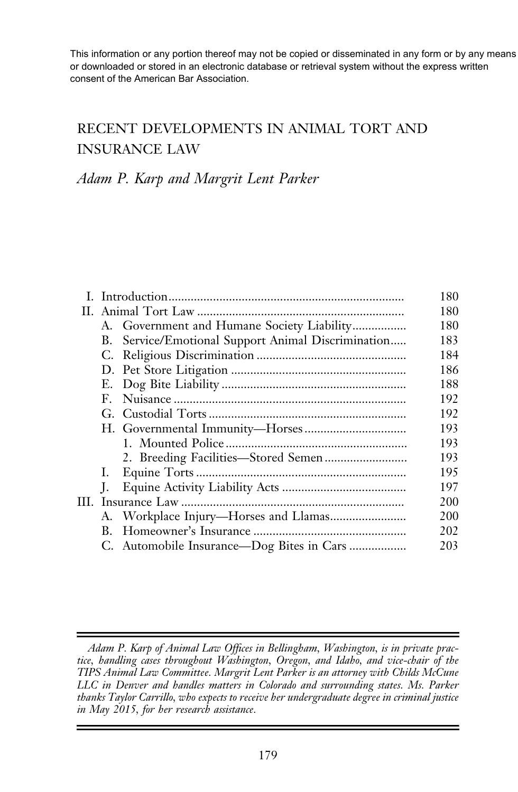# RECENT DEVELOPMENTS IN ANIMAL TORT AND INSURANCE LAW

# Adam P. Karp and Margrit Lent Parker

| RECENT DEVELOPMENTS IN ANIMAL TORT AND                                                                                                                                                                                                                        |                   |
|---------------------------------------------------------------------------------------------------------------------------------------------------------------------------------------------------------------------------------------------------------------|-------------------|
| <b>INSURANCE LAW</b>                                                                                                                                                                                                                                          |                   |
| Adam P. Karp and Margrit Lent Parker                                                                                                                                                                                                                          |                   |
| A. Government and Humane Society Liability                                                                                                                                                                                                                    | 180<br>180<br>180 |
| Service/Emotional Support Animal Discrimination<br>В.                                                                                                                                                                                                         | 183<br>184        |
|                                                                                                                                                                                                                                                               | 186               |
| Е.                                                                                                                                                                                                                                                            | 188               |
| $F_{\perp}$                                                                                                                                                                                                                                                   | 192               |
|                                                                                                                                                                                                                                                               | 192               |
|                                                                                                                                                                                                                                                               | 193               |
|                                                                                                                                                                                                                                                               | 193               |
|                                                                                                                                                                                                                                                               | 193               |
| 1.                                                                                                                                                                                                                                                            | 195               |
| L.                                                                                                                                                                                                                                                            | 197               |
|                                                                                                                                                                                                                                                               | 200               |
| А.                                                                                                                                                                                                                                                            | 200               |
|                                                                                                                                                                                                                                                               | 202               |
| C. Automobile Insurance—Dog Bites in Cars                                                                                                                                                                                                                     | 203               |
| Adam P. Karp of Animal Law Offices in Bellingham, Washington, is in private prac-<br>tice, handling cases throughout Washington, Oregon, and Idaho, and vice-chair of the<br>TIPS Animal Law Committee. Margrit Lent Parker is an attorney with Childs McCune |                   |
| LLC in Denver and handles matters in Colorado and surrounding states. Ms. Parker<br>thanks Taylor Carrillo, who expects to receive her undergraduate degree in criminal justice<br>in May 2015, for her research assistance.                                  |                   |

Adam P. Karp of Animal Law Offices in Bellingham, Washington, is in private practice, handling cases throughout Washington, Oregon, and Idaho, and vice-chair of the TIPS Animal Law Committee. Margrit Lent Parker is an attorney with Childs McCune LLC in Denver and handles matters in Colorado and surrounding states. Ms. Parker thanks Taylor Carrillo, who expects to receive her undergraduate degree in criminal justice in May 2015, for her research assistance.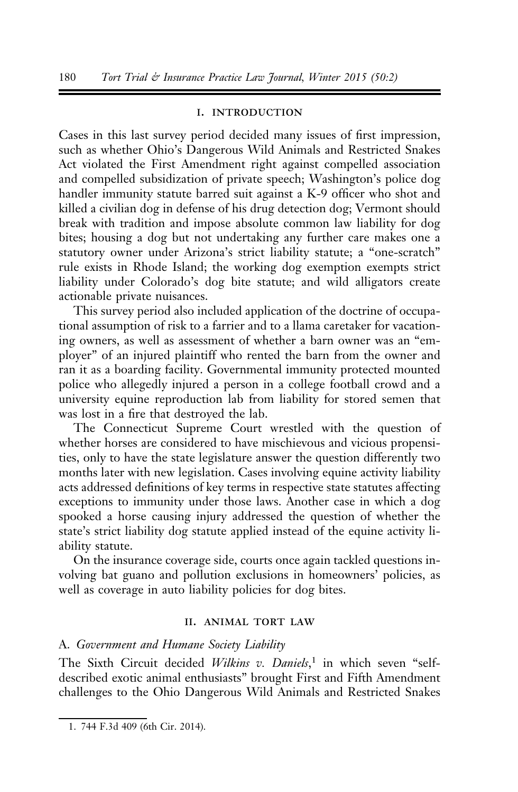#### i. introduction

Cases in this last survey period decided many issues of first impression, such as whether Ohio's Dangerous Wild Animals and Restricted Snakes Act violated the First Amendment right against compelled association and compelled subsidization of private speech; Washington's police dog handler immunity statute barred suit against a K-9 officer who shot and killed a civilian dog in defense of his drug detection dog; Vermont should break with tradition and impose absolute common law liability for dog bites; housing a dog but not undertaking any further care makes one a statutory owner under Arizona's strict liability statute; a "one-scratch" rule exists in Rhode Island; the working dog exemption exempts strict liability under Colorado's dog bite statute; and wild alligators create actionable private nuisances.

This survey period also included application of the doctrine of occupational assumption of risk to a farrier and to a llama caretaker for vacationing owners, as well as assessment of whether a barn owner was an "employer" of an injured plaintiff who rented the barn from the owner and ran it as a boarding facility. Governmental immunity protected mounted police who allegedly injured a person in a college football crowd and a university equine reproduction lab from liability for stored semen that was lost in a fire that destroyed the lab.

The Connecticut Supreme Court wrestled with the question of whether horses are considered to have mischievous and vicious propensities, only to have the state legislature answer the question differently two months later with new legislation. Cases involving equine activity liability acts addressed definitions of key terms in respective state statutes affecting exceptions to immunity under those laws. Another case in which a dog spooked a horse causing injury addressed the question of whether the state's strict liability dog statute applied instead of the equine activity liability statute.

On the insurance coverage side, courts once again tackled questions involving bat guano and pollution exclusions in homeowners' policies, as well as coverage in auto liability policies for dog bites.

#### II. ANIMAL TORT LAW

#### A. Government and Humane Society Liability

The Sixth Circuit decided Wilkins v. Daniels,<sup>1</sup> in which seven "selfdescribed exotic animal enthusiasts" brought First and Fifth Amendment challenges to the Ohio Dangerous Wild Animals and Restricted Snakes

<sup>1. 744</sup> F.3d 409 (6th Cir. 2014).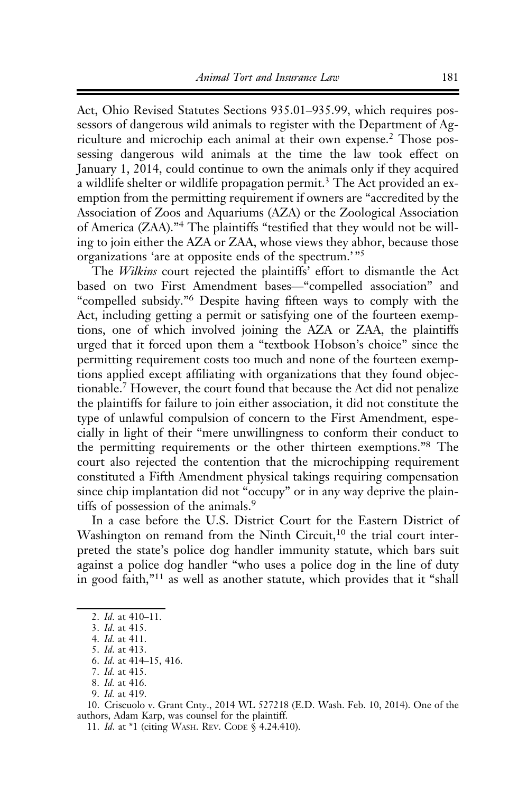Act, Ohio Revised Statutes Sections 935.01–935.99, which requires possessors of dangerous wild animals to register with the Department of Agriculture and microchip each animal at their own expense.<sup>2</sup> Those possessing dangerous wild animals at the time the law took effect on January 1, 2014, could continue to own the animals only if they acquired a wildlife shelter or wildlife propagation permit.<sup>3</sup> The Act provided an exemption from the permitting requirement if owners are "accredited by the Association of Zoos and Aquariums (AZA) or the Zoological Association of America (ZAA)."<sup>4</sup> The plaintiffs "testified that they would not be willing to join either the AZA or ZAA, whose views they abhor, because those organizations 'are at opposite ends of the spectrum.' "<sup>5</sup>

The *Wilkins* court rejected the plaintiffs' effort to dismantle the Act based on two First Amendment bases—"compelled association" and "compelled subsidy."<sup>6</sup> Despite having fifteen ways to comply with the Act, including getting a permit or satisfying one of the fourteen exemptions, one of which involved joining the AZA or ZAA, the plaintiffs urged that it forced upon them a "textbook Hobson's choice" since the permitting requirement costs too much and none of the fourteen exemptions applied except affiliating with organizations that they found objectionable.7 However, the court found that because the Act did not penalize the plaintiffs for failure to join either association, it did not constitute the type of unlawful compulsion of concern to the First Amendment, especially in light of their "mere unwillingness to conform their conduct to the permitting requirements or the other thirteen exemptions."<sup>8</sup> The court also rejected the contention that the microchipping requirement constituted a Fifth Amendment physical takings requiring compensation since chip implantation did not "occupy" or in any way deprive the plaintiffs of possession of the animals.<sup>9</sup>

In a case before the U.S. District Court for the Eastern District of Washington on remand from the Ninth Circuit,<sup>10</sup> the trial court interpreted the state's police dog handler immunity statute, which bars suit against a police dog handler "who uses a police dog in the line of duty in good faith,"<sup>11</sup> as well as another statute, which provides that it "shall

4. Id. at 411.

9. Id. at 419.

11. Id. at \*1 (citing WASH. REV. CODE § 4.24.410).

<sup>2.</sup> Id. at 410–11.

<sup>3.</sup> Id. at 415.

<sup>5.</sup> Id. at 413.

<sup>6.</sup> Id. at 414–15, 416.

<sup>7.</sup> Id. at 415.

<sup>8.</sup> Id. at 416.

<sup>10.</sup> Criscuolo v. Grant Cnty., 2014 WL 527218 (E.D. Wash. Feb. 10, 2014). One of the authors, Adam Karp, was counsel for the plaintiff.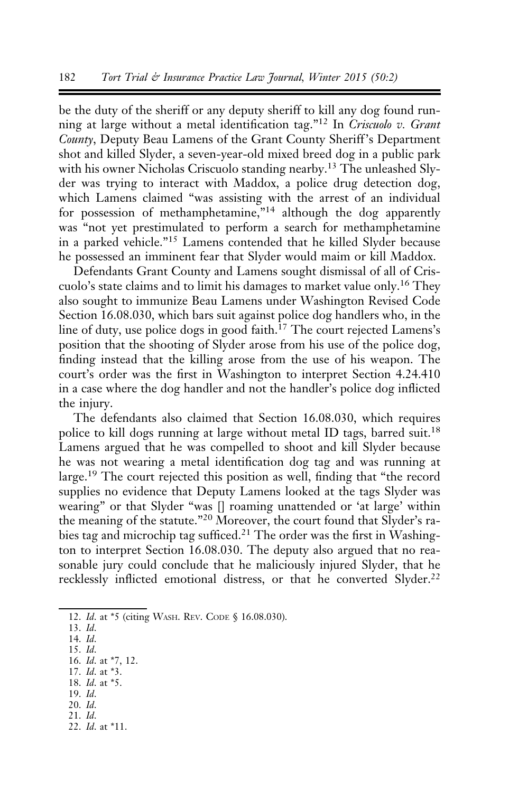be the duty of the sheriff or any deputy sheriff to kill any dog found running at large without a metal identification tag."<sup>12</sup> In Criscuolo v. Grant County, Deputy Beau Lamens of the Grant County Sheriff 's Department shot and killed Slyder, a seven-year-old mixed breed dog in a public park with his owner Nicholas Criscuolo standing nearby.<sup>13</sup> The unleashed Slyder was trying to interact with Maddox, a police drug detection dog, which Lamens claimed "was assisting with the arrest of an individual for possession of methamphetamine,"14 although the dog apparently was "not yet prestimulated to perform a search for methamphetamine in a parked vehicle."<sup>15</sup> Lamens contended that he killed Slyder because he possessed an imminent fear that Slyder would maim or kill Maddox.

Defendants Grant County and Lamens sought dismissal of all of Criscuolo's state claims and to limit his damages to market value only.<sup>16</sup> They also sought to immunize Beau Lamens under Washington Revised Code Section 16.08.030, which bars suit against police dog handlers who, in the line of duty, use police dogs in good faith.<sup>17</sup> The court rejected Lamens's position that the shooting of Slyder arose from his use of the police dog, finding instead that the killing arose from the use of his weapon. The court's order was the first in Washington to interpret Section 4.24.410 in a case where the dog handler and not the handler's police dog inflicted the injury.

The defendants also claimed that Section 16.08.030, which requires police to kill dogs running at large without metal ID tags, barred suit.<sup>18</sup> Lamens argued that he was compelled to shoot and kill Slyder because he was not wearing a metal identification dog tag and was running at large.<sup>19</sup> The court rejected this position as well, finding that "the record supplies no evidence that Deputy Lamens looked at the tags Slyder was wearing" or that Slyder "was [] roaming unattended or 'at large' within the meaning of the statute."<sup>20</sup> Moreover, the court found that Slyder's rabies tag and microchip tag sufficed.<sup>21</sup> The order was the first in Washington to interpret Section 16.08.030. The deputy also argued that no reasonable jury could conclude that he maliciously injured Slyder, that he recklessly inflicted emotional distress, or that he converted Slyder.<sup>22</sup>

- 17. Id. at \*3.
- 18. Id. at \*5.
- 19. Id.
- 20. Id.
- 21. Id.
- 22. Id. at \*11.

<sup>12.</sup> Id. at \*5 (citing WASH. REV. CODE § 16.08.030).

<sup>13.</sup> Id.

<sup>14.</sup> Id. 15. Id.

<sup>16.</sup> Id. at \*7, 12.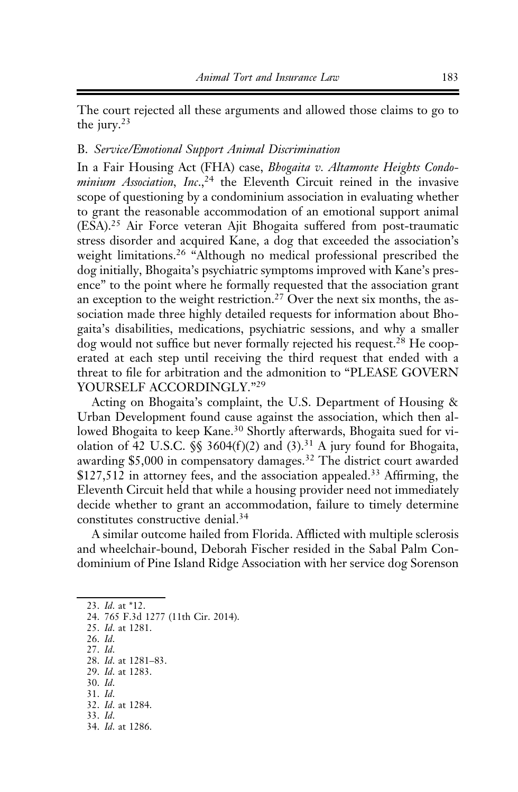The court rejected all these arguments and allowed those claims to go to the jury.<sup>23</sup>

#### B. Service/Emotional Support Animal Discrimination

In a Fair Housing Act (FHA) case, Bhogaita v. Altamonte Heights Condominium Association, Inc.,  $24$  the Eleventh Circuit reined in the invasive scope of questioning by a condominium association in evaluating whether to grant the reasonable accommodation of an emotional support animal (ESA).<sup>25</sup> Air Force veteran Ajit Bhogaita suffered from post-traumatic stress disorder and acquired Kane, a dog that exceeded the association's weight limitations.<sup>26</sup> "Although no medical professional prescribed the dog initially, Bhogaita's psychiatric symptoms improved with Kane's presence" to the point where he formally requested that the association grant an exception to the weight restriction.<sup>27</sup> Over the next six months, the association made three highly detailed requests for information about Bhogaita's disabilities, medications, psychiatric sessions, and why a smaller dog would not suffice but never formally rejected his request.<sup>28</sup> He cooperated at each step until receiving the third request that ended with a threat to file for arbitration and the admonition to "PLEASE GOVERN YOURSELF ACCORDINGLY."<sup>29</sup>

Acting on Bhogaita's complaint, the U.S. Department of Housing & Urban Development found cause against the association, which then allowed Bhogaita to keep Kane.<sup>30</sup> Shortly afterwards, Bhogaita sued for violation of 42 U.S.C.  $\S$  3604(f)(2) and (3).<sup>31</sup> A jury found for Bhogaita, awarding \$5,000 in compensatory damages.<sup>32</sup> The district court awarded \$127,512 in attorney fees, and the association appealed.<sup>33</sup> Affirming, the Eleventh Circuit held that while a housing provider need not immediately decide whether to grant an accommodation, failure to timely determine constitutes constructive denial.<sup>34</sup>

A similar outcome hailed from Florida. Afflicted with multiple sclerosis and wheelchair-bound, Deborah Fischer resided in the Sabal Palm Condominium of Pine Island Ridge Association with her service dog Sorenson

26. Id.

- 28. Id. at 1281–83.
- 29. Id. at 1283. 30. Id.
- 31. Id.
- 32. Id. at 1284.
- 33. Id.
- 34. Id. at 1286.

<sup>23.</sup> Id. at \*12.

<sup>24. 765</sup> F.3d 1277 (11th Cir. 2014).

<sup>25.</sup> Id. at 1281.

<sup>27.</sup> Id.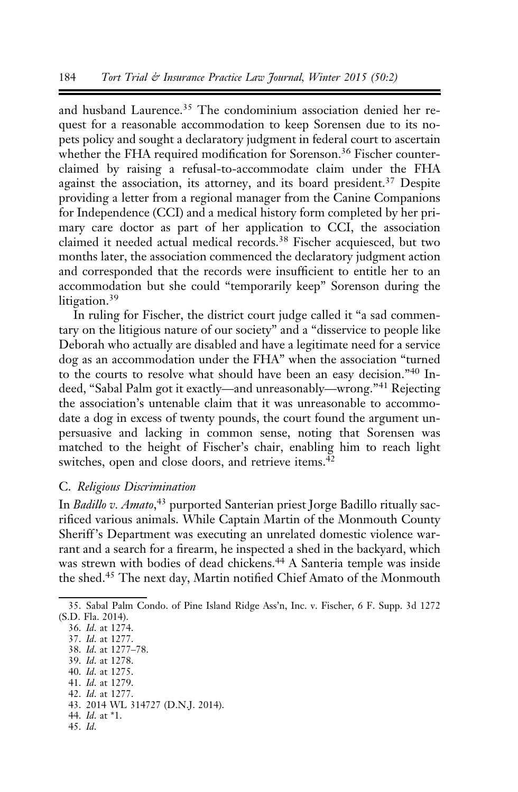and husband Laurence.<sup>35</sup> The condominium association denied her request for a reasonable accommodation to keep Sorensen due to its nopets policy and sought a declaratory judgment in federal court to ascertain whether the FHA required modification for Sorenson.<sup>36</sup> Fischer counterclaimed by raising a refusal-to-accommodate claim under the FHA against the association, its attorney, and its board president.<sup>37</sup> Despite providing a letter from a regional manager from the Canine Companions for Independence (CCI) and a medical history form completed by her primary care doctor as part of her application to CCI, the association claimed it needed actual medical records.<sup>38</sup> Fischer acquiesced, but two months later, the association commenced the declaratory judgment action and corresponded that the records were insufficient to entitle her to an accommodation but she could "temporarily keep" Sorenson during the litigation.<sup>39</sup>

In ruling for Fischer, the district court judge called it "a sad commentary on the litigious nature of our society" and a "disservice to people like Deborah who actually are disabled and have a legitimate need for a service dog as an accommodation under the FHA" when the association "turned to the courts to resolve what should have been an easy decision."<sup>40</sup> Indeed, "Sabal Palm got it exactly—and unreasonably—wrong."<sup>41</sup> Rejecting the association's untenable claim that it was unreasonable to accommodate a dog in excess of twenty pounds, the court found the argument unpersuasive and lacking in common sense, noting that Sorensen was matched to the height of Fischer's chair, enabling him to reach light switches, open and close doors, and retrieve items.<sup>42</sup>

#### C. Religious Discrimination

In Badillo v. Amato,<sup>43</sup> purported Santerian priest Jorge Badillo ritually sacrificed various animals. While Captain Martin of the Monmouth County Sheriff 's Department was executing an unrelated domestic violence warrant and a search for a firearm, he inspected a shed in the backyard, which was strewn with bodies of dead chickens.<sup>44</sup> A Santeria temple was inside the shed.<sup>45</sup> The next day, Martin notified Chief Amato of the Monmouth

- 39. Id. at 1278.
- 40. Id. at 1275. 41. Id. at 1279.
- 42. Id. at 1277.
- 
- 43. 2014 WL 314727 (D.N.J. 2014). 44. Id. at \*1.
- 45. Id.

<sup>35.</sup> Sabal Palm Condo. of Pine Island Ridge Ass'n, Inc. v. Fischer, 6 F. Supp. 3d 1272 (S.D. Fla. 2014).

<sup>36.</sup> Id. at 1274.

<sup>37.</sup> Id. at 1277.

<sup>38.</sup> Id. at 1277–78.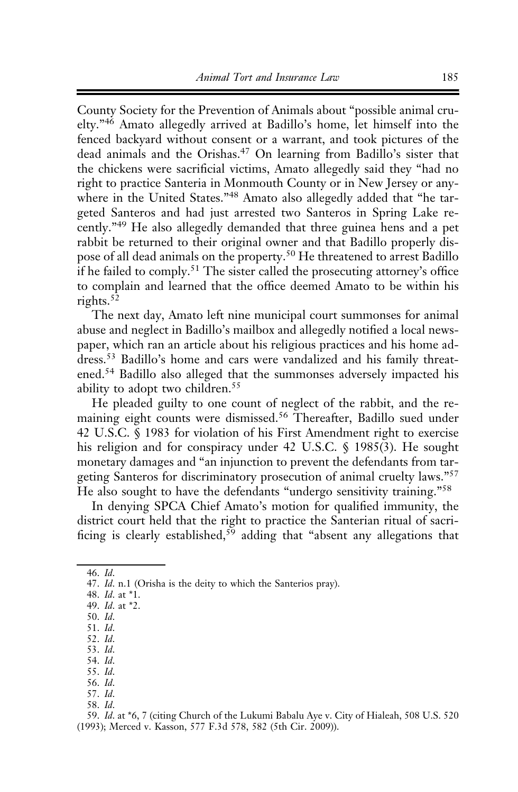County Society for the Prevention of Animals about "possible animal cruelty."<sup>46</sup> Amato allegedly arrived at Badillo's home, let himself into the fenced backyard without consent or a warrant, and took pictures of the dead animals and the Orishas.<sup>47</sup> On learning from Badillo's sister that the chickens were sacrificial victims, Amato allegedly said they "had no right to practice Santeria in Monmouth County or in New Jersey or anywhere in the United States."<sup>48</sup> Amato also allegedly added that "he targeted Santeros and had just arrested two Santeros in Spring Lake recently."<sup>49</sup> He also allegedly demanded that three guinea hens and a pet rabbit be returned to their original owner and that Badillo properly dispose of all dead animals on the property.<sup>50</sup> He threatened to arrest Badillo if he failed to comply.<sup>51</sup> The sister called the prosecuting attorney's office to complain and learned that the office deemed Amato to be within his rights.<sup>52</sup>

The next day, Amato left nine municipal court summonses for animal abuse and neglect in Badillo's mailbox and allegedly notified a local newspaper, which ran an article about his religious practices and his home address.<sup>53</sup> Badillo's home and cars were vandalized and his family threatened.<sup>54</sup> Badillo also alleged that the summonses adversely impacted his ability to adopt two children.<sup>55</sup>

He pleaded guilty to one count of neglect of the rabbit, and the remaining eight counts were dismissed.<sup>56</sup> Thereafter, Badillo sued under 42 U.S.C. § 1983 for violation of his First Amendment right to exercise his religion and for conspiracy under 42 U.S.C. § 1985(3). He sought monetary damages and "an injunction to prevent the defendants from targeting Santeros for discriminatory prosecution of animal cruelty laws."<sup>57</sup> He also sought to have the defendants "undergo sensitivity training."<sup>58</sup>

In denying SPCA Chief Amato's motion for qualified immunity, the district court held that the right to practice the Santerian ritual of sacrificing is clearly established,<sup>59</sup> adding that "absent any allegations that

58. Id.

59. Id. at \*6, 7 (citing Church of the Lukumi Babalu Aye v. City of Hialeah, 508 U.S. 520 (1993); Merced v. Kasson, 577 F.3d 578, 582 (5th Cir. 2009)).

<sup>46.</sup> Id.

<sup>47.</sup> Id. n.1 (Orisha is the deity to which the Santerios pray).

<sup>48.</sup> Id. at \*1.

<sup>49.</sup> Id. at \*2.

<sup>50.</sup> Id. 51. Id.

<sup>52.</sup> Id.

<sup>53.</sup> Id.

<sup>54.</sup> Id.

<sup>55.</sup> Id.

<sup>56.</sup> Id.

<sup>57.</sup> Id.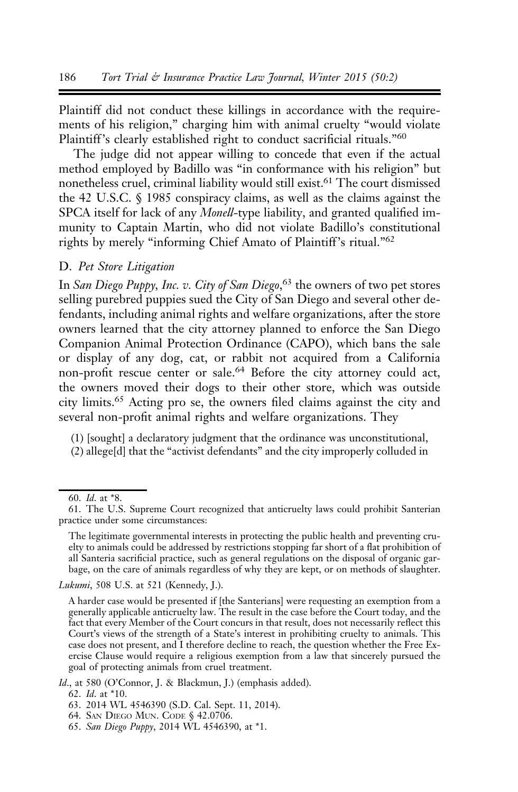Plaintiff did not conduct these killings in accordance with the requirements of his religion," charging him with animal cruelty "would violate Plaintiff's clearly established right to conduct sacrificial rituals."<sup>60</sup>

The judge did not appear willing to concede that even if the actual method employed by Badillo was "in conformance with his religion" but nonetheless cruel, criminal liability would still exist.<sup>61</sup> The court dismissed the 42 U.S.C. § 1985 conspiracy claims, as well as the claims against the SPCA itself for lack of any *Monell*-type liability, and granted qualified immunity to Captain Martin, who did not violate Badillo's constitutional rights by merely "informing Chief Amato of Plaintiff's ritual."62

#### D. Pet Store Litigation

In San Diego Puppy, Inc. v. City of San Diego, 63 the owners of two pet stores selling purebred puppies sued the City of San Diego and several other defendants, including animal rights and welfare organizations, after the store owners learned that the city attorney planned to enforce the San Diego Companion Animal Protection Ordinance (CAPO), which bans the sale or display of any dog, cat, or rabbit not acquired from a California non-profit rescue center or sale.<sup>64</sup> Before the city attorney could act, the owners moved their dogs to their other store, which was outside city limits.<sup>65</sup> Acting pro se, the owners filed claims against the city and several non-profit animal rights and welfare organizations. They

(1) [sought] a declaratory judgment that the ordinance was unconstitutional,

Lukumi, 508 U.S. at 521 (Kennedy, J.).

Id., at 580 (O'Connor, J. & Blackmun, J.) (emphasis added).

<sup>(2)</sup> allege[d] that the "activist defendants" and the city improperly colluded in

<sup>60.</sup> Id. at \*8.

<sup>61.</sup> The U.S. Supreme Court recognized that anticruelty laws could prohibit Santerian practice under some circumstances:

The legitimate governmental interests in protecting the public health and preventing cruelty to animals could be addressed by restrictions stopping far short of a flat prohibition of all Santeria sacrificial practice, such as general regulations on the disposal of organic garbage, on the care of animals regardless of why they are kept, or on methods of slaughter.

A harder case would be presented if [the Santerians] were requesting an exemption from a generally applicable anticruelty law. The result in the case before the Court today, and the fact that every Member of the Court concurs in that result, does not necessarily reflect this Court's views of the strength of a State's interest in prohibiting cruelty to animals. This case does not present, and I therefore decline to reach, the question whether the Free Exercise Clause would require a religious exemption from a law that sincerely pursued the goal of protecting animals from cruel treatment.

<sup>62.</sup> Id. at \*10.

<sup>63. 2014</sup> WL 4546390 (S.D. Cal. Sept. 11, 2014).

<sup>64.</sup> SAN DIEGO MUN. CODE § 42.0706.

<sup>65.</sup> San Diego Puppy, 2014 WL 4546390, at \*1.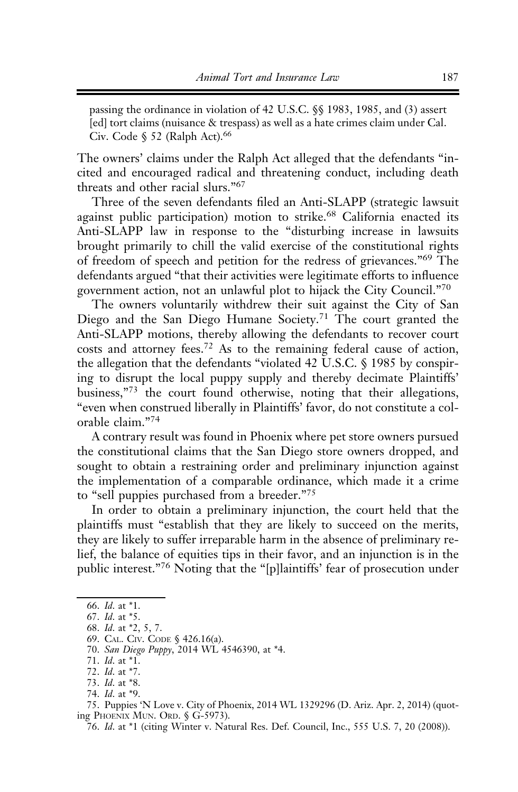passing the ordinance in violation of 42 U.S.C. §§ 1983, 1985, and (3) assert [ed] tort claims (nuisance & trespass) as well as a hate crimes claim under Cal. Civ. Code  $\S$  52 (Ralph Act).<sup>66</sup>

The owners' claims under the Ralph Act alleged that the defendants "incited and encouraged radical and threatening conduct, including death threats and other racial slurs."<sup>67</sup>

Three of the seven defendants filed an Anti-SLAPP (strategic lawsuit against public participation) motion to strike.<sup>68</sup> California enacted its Anti-SLAPP law in response to the "disturbing increase in lawsuits brought primarily to chill the valid exercise of the constitutional rights of freedom of speech and petition for the redress of grievances."<sup>69</sup> The defendants argued "that their activities were legitimate efforts to influence government action, not an unlawful plot to hijack the City Council."<sup>70</sup>

The owners voluntarily withdrew their suit against the City of San Diego and the San Diego Humane Society.<sup>71</sup> The court granted the Anti-SLAPP motions, thereby allowing the defendants to recover court costs and attorney fees.<sup>72</sup> As to the remaining federal cause of action, the allegation that the defendants "violated 42 U.S.C. § 1985 by conspiring to disrupt the local puppy supply and thereby decimate Plaintiffs' business,"<sup>73</sup> the court found otherwise, noting that their allegations, "even when construed liberally in Plaintiffs' favor, do not constitute a colorable claim."<sup>74</sup>

A contrary result was found in Phoenix where pet store owners pursued the constitutional claims that the San Diego store owners dropped, and sought to obtain a restraining order and preliminary injunction against the implementation of a comparable ordinance, which made it a crime to "sell puppies purchased from a breeder."<sup>75</sup>

In order to obtain a preliminary injunction, the court held that the plaintiffs must "establish that they are likely to succeed on the merits, they are likely to suffer irreparable harm in the absence of preliminary relief, the balance of equities tips in their favor, and an injunction is in the public interest."<sup>76</sup> Noting that the "[p]laintiffs' fear of prosecution under

<sup>66.</sup> Id. at \*1.

<sup>67.</sup> Id. at \*5.

<sup>68.</sup> Id. at \*2, 5, 7.

<sup>69.</sup> CAL. CIV. CODE § 426.16(a).

<sup>70.</sup> San Diego Puppy, 2014 WL 4546390, at \*4.

<sup>71.</sup> Id. at \*1.

<sup>72.</sup> Id. at \*7.

<sup>73.</sup> Id. at \*8.

<sup>74.</sup> Id. at \*9.

<sup>75.</sup> Puppies 'N Love v. City of Phoenix, 2014 WL 1329296 (D. Ariz. Apr. 2, 2014) (quoting PHOENIX MUN. ORD. § G-5973).

<sup>76.</sup> Id. at \*1 (citing Winter v. Natural Res. Def. Council, Inc., 555 U.S. 7, 20 (2008)).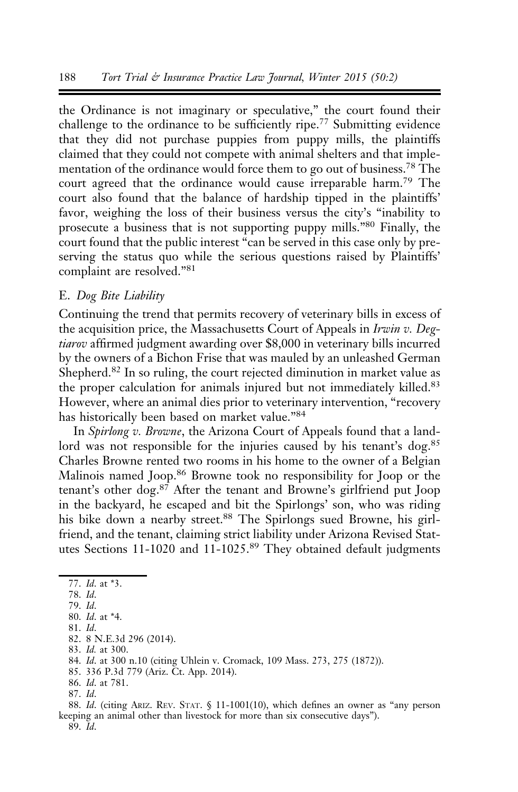the Ordinance is not imaginary or speculative," the court found their challenge to the ordinance to be sufficiently ripe.<sup>77</sup> Submitting evidence that they did not purchase puppies from puppy mills, the plaintiffs claimed that they could not compete with animal shelters and that implementation of the ordinance would force them to go out of business.78 The court agreed that the ordinance would cause irreparable harm.<sup>79</sup> The court also found that the balance of hardship tipped in the plaintiffs' favor, weighing the loss of their business versus the city's "inability to prosecute a business that is not supporting puppy mills."<sup>80</sup> Finally, the court found that the public interest "can be served in this case only by preserving the status quo while the serious questions raised by Plaintiffs' complaint are resolved."<sup>81</sup>

# E. Dog Bite Liability

Continuing the trend that permits recovery of veterinary bills in excess of the acquisition price, the Massachusetts Court of Appeals in Irwin v. Degtiarov affirmed judgment awarding over \$8,000 in veterinary bills incurred by the owners of a Bichon Frise that was mauled by an unleashed German Shepherd.<sup>82</sup> In so ruling, the court rejected diminution in market value as the proper calculation for animals injured but not immediately killed.<sup>83</sup> However, where an animal dies prior to veterinary intervention, "recovery has historically been based on market value."<sup>84</sup>

In Spirlong v. Browne, the Arizona Court of Appeals found that a landlord was not responsible for the injuries caused by his tenant's dog.<sup>85</sup> Charles Browne rented two rooms in his home to the owner of a Belgian Malinois named Joop.<sup>86</sup> Browne took no responsibility for Joop or the tenant's other dog.<sup>87</sup> After the tenant and Browne's girlfriend put Joop in the backyard, he escaped and bit the Spirlongs' son, who was riding his bike down a nearby street.<sup>88</sup> The Spirlongs sued Browne, his girlfriend, and the tenant, claiming strict liability under Arizona Revised Statutes Sections 11-1020 and 11-1025.<sup>89</sup> They obtained default judgments

81. Id.

88. Id. (citing ARIZ. REV. STAT. § 11-1001(10), which defines an owner as "any person keeping an animal other than livestock for more than six consecutive days"). 89. Id.

<sup>77.</sup> Id. at \*3.

<sup>78.</sup> Id.

<sup>79.</sup> Id.

<sup>80.</sup> Id. at \*4.

<sup>82. 8</sup> N.E.3d 296 (2014). 83. Id. at 300.

<sup>84.</sup> Id. at 300 n.10 (citing Uhlein v. Cromack, 109 Mass. 273, 275 (1872)).

<sup>85. 336</sup> P.3d 779 (Ariz. Ct. App. 2014).

<sup>86.</sup> Id. at 781.

<sup>87.</sup> Id.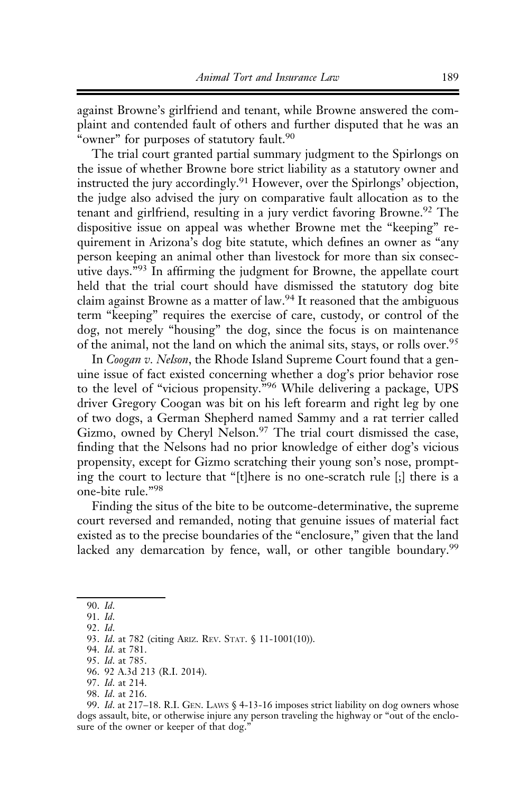against Browne's girlfriend and tenant, while Browne answered the complaint and contended fault of others and further disputed that he was an "owner" for purposes of statutory fault.<sup>90</sup>

The trial court granted partial summary judgment to the Spirlongs on the issue of whether Browne bore strict liability as a statutory owner and instructed the jury accordingly.<sup>91</sup> However, over the Spirlongs' objection, the judge also advised the jury on comparative fault allocation as to the tenant and girlfriend, resulting in a jury verdict favoring Browne.<sup>92</sup> The dispositive issue on appeal was whether Browne met the "keeping" requirement in Arizona's dog bite statute, which defines an owner as "any person keeping an animal other than livestock for more than six consecutive days."<sup>93</sup> In affirming the judgment for Browne, the appellate court held that the trial court should have dismissed the statutory dog bite claim against Browne as a matter of law.94 It reasoned that the ambiguous term "keeping" requires the exercise of care, custody, or control of the dog, not merely "housing" the dog, since the focus is on maintenance of the animal, not the land on which the animal sits, stays, or rolls over.<sup>95</sup>

In Coogan v. Nelson, the Rhode Island Supreme Court found that a genuine issue of fact existed concerning whether a dog's prior behavior rose to the level of "vicious propensity."<sup>96</sup> While delivering a package, UPS driver Gregory Coogan was bit on his left forearm and right leg by one of two dogs, a German Shepherd named Sammy and a rat terrier called Gizmo, owned by Cheryl Nelson.<sup>97</sup> The trial court dismissed the case, finding that the Nelsons had no prior knowledge of either dog's vicious propensity, except for Gizmo scratching their young son's nose, prompting the court to lecture that "[t]here is no one-scratch rule [;] there is a one-bite rule."<sup>98</sup>

Finding the situs of the bite to be outcome-determinative, the supreme court reversed and remanded, noting that genuine issues of material fact existed as to the precise boundaries of the "enclosure," given that the land lacked any demarcation by fence, wall, or other tangible boundary.<sup>99</sup>

- 96. 92 A.3d 213 (R.I. 2014).
- 97. Id. at 214.
- 98. Id. at 216.

<sup>90.</sup> Id.

<sup>91.</sup> Id.

<sup>92.</sup> Id.

<sup>93.</sup> Id. at 782 (citing ARIZ. REV. STAT. § 11-1001(10)).

<sup>94.</sup> Id. at 781.

<sup>95.</sup> Id. at 785.

<sup>99.</sup> Id. at 217–18. R.I. GEN. LAWS § 4-13-16 imposes strict liability on dog owners whose dogs assault, bite, or otherwise injure any person traveling the highway or "out of the enclosure of the owner or keeper of that dog."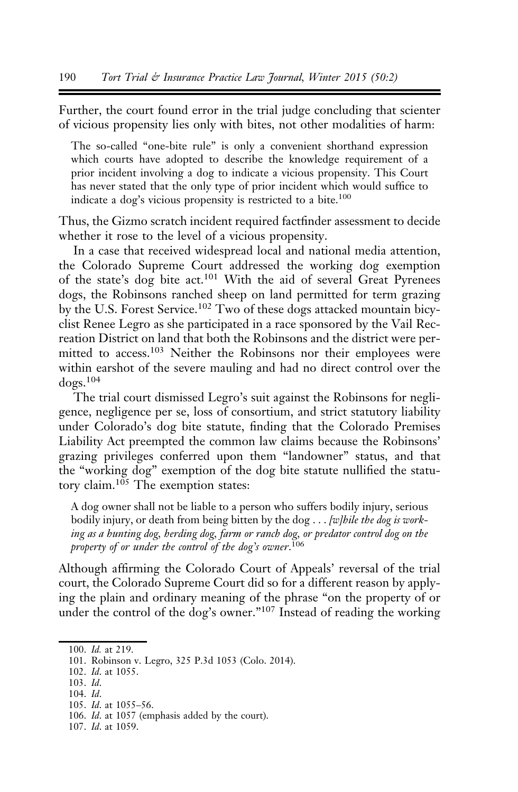Further, the court found error in the trial judge concluding that scienter of vicious propensity lies only with bites, not other modalities of harm:

The so-called "one-bite rule" is only a convenient shorthand expression which courts have adopted to describe the knowledge requirement of a prior incident involving a dog to indicate a vicious propensity. This Court has never stated that the only type of prior incident which would suffice to indicate a dog's vicious propensity is restricted to a bite.<sup>100</sup>

Thus, the Gizmo scratch incident required factfinder assessment to decide whether it rose to the level of a vicious propensity.

In a case that received widespread local and national media attention, the Colorado Supreme Court addressed the working dog exemption of the state's dog bite act.<sup>101</sup> With the aid of several Great Pyrenees dogs, the Robinsons ranched sheep on land permitted for term grazing by the U.S. Forest Service.<sup>102</sup> Two of these dogs attacked mountain bicyclist Renee Legro as she participated in a race sponsored by the Vail Recreation District on land that both the Robinsons and the district were permitted to access.<sup>103</sup> Neither the Robinsons nor their employees were within earshot of the severe mauling and had no direct control over the dogs.<sup>104</sup>

The trial court dismissed Legro's suit against the Robinsons for negligence, negligence per se, loss of consortium, and strict statutory liability under Colorado's dog bite statute, finding that the Colorado Premises Liability Act preempted the common law claims because the Robinsons' grazing privileges conferred upon them "landowner" status, and that the "working dog" exemption of the dog bite statute nullified the statutory claim. $105$  The exemption states:

A dog owner shall not be liable to a person who suffers bodily injury, serious bodily injury, or death from being bitten by the  $\log \dots$  [w] *hile the dog is work*ing as a hunting dog, herding dog, farm or ranch dog, or predator control dog on the property of or under the control of the dog's owner. 106

Although affirming the Colorado Court of Appeals' reversal of the trial court, the Colorado Supreme Court did so for a different reason by applying the plain and ordinary meaning of the phrase "on the property of or under the control of the dog's owner."<sup>107</sup> Instead of reading the working

102. Id. at 1055.

104. Id.

<sup>100.</sup> Id. at 219.

<sup>101.</sup> Robinson v. Legro, 325 P.3d 1053 (Colo. 2014).

<sup>103.</sup> Id.

<sup>105.</sup> Id. at 1055–56.

<sup>106.</sup> Id. at 1057 (emphasis added by the court).

<sup>107.</sup> Id. at 1059.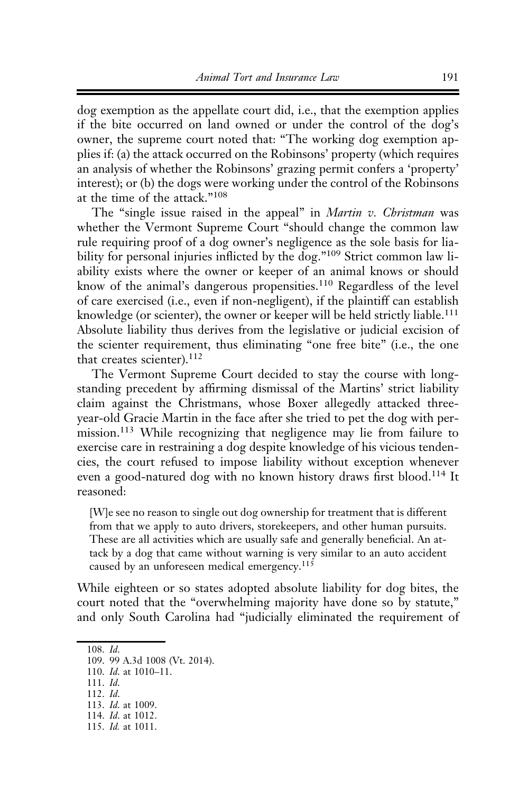dog exemption as the appellate court did, i.e., that the exemption applies if the bite occurred on land owned or under the control of the dog's owner, the supreme court noted that: "The working dog exemption applies if: (a) the attack occurred on the Robinsons' property (which requires an analysis of whether the Robinsons' grazing permit confers a 'property' interest); or (b) the dogs were working under the control of the Robinsons at the time of the attack."<sup>108</sup>

The "single issue raised in the appeal" in *Martin v. Christman* was whether the Vermont Supreme Court "should change the common law rule requiring proof of a dog owner's negligence as the sole basis for liability for personal injuries inflicted by the dog."<sup>109</sup> Strict common law liability exists where the owner or keeper of an animal knows or should know of the animal's dangerous propensities.<sup>110</sup> Regardless of the level of care exercised (i.e., even if non-negligent), if the plaintiff can establish knowledge (or scienter), the owner or keeper will be held strictly liable.<sup>111</sup> Absolute liability thus derives from the legislative or judicial excision of the scienter requirement, thus eliminating "one free bite" (i.e., the one that creates scienter).<sup>112</sup>

The Vermont Supreme Court decided to stay the course with longstanding precedent by affirming dismissal of the Martins' strict liability claim against the Christmans, whose Boxer allegedly attacked threeyear-old Gracie Martin in the face after she tried to pet the dog with permission.<sup>113</sup> While recognizing that negligence may lie from failure to exercise care in restraining a dog despite knowledge of his vicious tendencies, the court refused to impose liability without exception whenever even a good-natured dog with no known history draws first blood.114 It reasoned:

[W]e see no reason to single out dog ownership for treatment that is different from that we apply to auto drivers, storekeepers, and other human pursuits. These are all activities which are usually safe and generally beneficial. An attack by a dog that came without warning is very similar to an auto accident caused by an unforeseen medical emergency.<sup>115</sup>

While eighteen or so states adopted absolute liability for dog bites, the court noted that the "overwhelming majority have done so by statute," and only South Carolina had "judicially eliminated the requirement of

<sup>108.</sup> Id.

<sup>109. 99</sup> A.3d 1008 (Vt. 2014).

<sup>110.</sup> Id. at 1010-11.

<sup>111.</sup> Id.

<sup>112.</sup> Id.

<sup>113.</sup> Id. at 1009.

<sup>114.</sup> Id. at 1012.

<sup>115.</sup> Id. at 1011.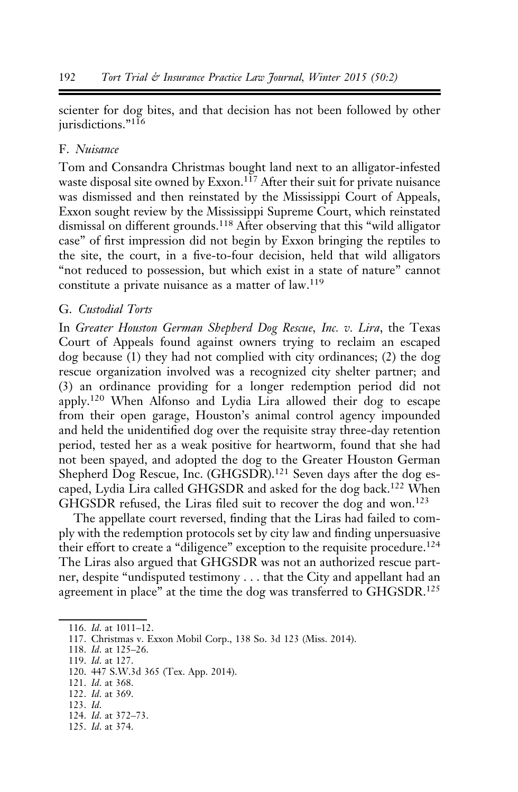scienter for dog bites, and that decision has not been followed by other jurisdictions."<sup>116</sup>

## F. Nuisance

Tom and Consandra Christmas bought land next to an alligator-infested waste disposal site owned by Exxon.<sup>117</sup> After their suit for private nuisance was dismissed and then reinstated by the Mississippi Court of Appeals, Exxon sought review by the Mississippi Supreme Court, which reinstated dismissal on different grounds.118 After observing that this "wild alligator case" of first impression did not begin by Exxon bringing the reptiles to the site, the court, in a five-to-four decision, held that wild alligators "not reduced to possession, but which exist in a state of nature" cannot constitute a private nuisance as a matter of law.<sup>119</sup>

#### G. Custodial Torts

In Greater Houston German Shepherd Dog Rescue, Inc. v. Lira, the Texas Court of Appeals found against owners trying to reclaim an escaped dog because (1) they had not complied with city ordinances; (2) the dog rescue organization involved was a recognized city shelter partner; and (3) an ordinance providing for a longer redemption period did not apply.<sup>120</sup> When Alfonso and Lydia Lira allowed their dog to escape from their open garage, Houston's animal control agency impounded and held the unidentified dog over the requisite stray three-day retention period, tested her as a weak positive for heartworm, found that she had not been spayed, and adopted the dog to the Greater Houston German Shepherd Dog Rescue, Inc. (GHGSDR).<sup>121</sup> Seven days after the dog escaped, Lydia Lira called GHGSDR and asked for the dog back.<sup>122</sup> When GHGSDR refused, the Liras filed suit to recover the dog and won.<sup>123</sup>

The appellate court reversed, finding that the Liras had failed to comply with the redemption protocols set by city law and finding unpersuasive their effort to create a "diligence" exception to the requisite procedure.<sup>124</sup> The Liras also argued that GHGSDR was not an authorized rescue partner, despite "undisputed testimony . . . that the City and appellant had an agreement in place" at the time the dog was transferred to  $GHGSDR$ <sup>125</sup>

119. Id. at 127.

- 121. Id. at 368.
- 122. Id. at 369.
- 123. Id.
- 124. Id. at 372–73.
- 125. Id. at 374.

<sup>116.</sup> Id. at 1011–12.

<sup>117.</sup> Christmas v. Exxon Mobil Corp., 138 So. 3d 123 (Miss. 2014).

<sup>118.</sup> Id. at 125–26.

<sup>120. 447</sup> S.W.3d 365 (Tex. App. 2014).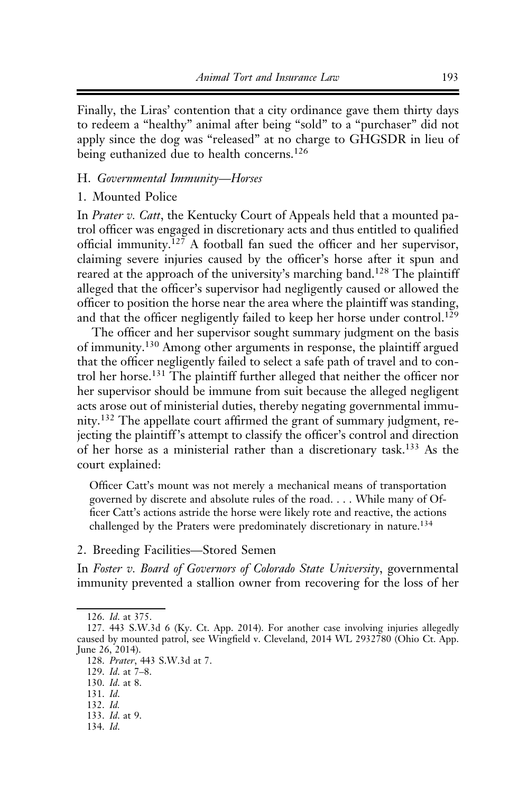Finally, the Liras' contention that a city ordinance gave them thirty days to redeem a "healthy" animal after being "sold" to a "purchaser" did not apply since the dog was "released" at no charge to GHGSDR in lieu of being euthanized due to health concerns.<sup>126</sup>

#### H. Governmental Immunity—Horses

#### 1. Mounted Police

In Prater v. Catt, the Kentucky Court of Appeals held that a mounted patrol officer was engaged in discretionary acts and thus entitled to qualified official immunity.<sup>127</sup> A football fan sued the officer and her supervisor, claiming severe injuries caused by the officer's horse after it spun and reared at the approach of the university's marching band.<sup>128</sup> The plaintiff alleged that the officer's supervisor had negligently caused or allowed the officer to position the horse near the area where the plaintiff was standing, and that the officer negligently failed to keep her horse under control.<sup>129</sup>

The officer and her supervisor sought summary judgment on the basis of immunity.130 Among other arguments in response, the plaintiff argued that the officer negligently failed to select a safe path of travel and to control her horse.<sup>131</sup> The plaintiff further alleged that neither the officer nor her supervisor should be immune from suit because the alleged negligent acts arose out of ministerial duties, thereby negating governmental immunity.<sup>132</sup> The appellate court affirmed the grant of summary judgment, rejecting the plaintiff's attempt to classify the officer's control and direction of her horse as a ministerial rather than a discretionary task.133 As the court explained:

Officer Catt's mount was not merely a mechanical means of transportation governed by discrete and absolute rules of the road. . . . While many of Officer Catt's actions astride the horse were likely rote and reactive, the actions challenged by the Praters were predominately discretionary in nature.<sup>134</sup>

2. Breeding Facilities—Stored Semen

In Foster v. Board of Governors of Colorado State University, governmental immunity prevented a stallion owner from recovering for the loss of her

133. Id. at 9.

<sup>126.</sup> Id. at 375.

<sup>127. 443</sup> S.W.3d 6 (Ky. Ct. App. 2014). For another case involving injuries allegedly caused by mounted patrol, see Wingfield v. Cleveland, 2014 WL 2932780 (Ohio Ct. App. June 26, 2014).

<sup>128.</sup> Prater, 443 S.W.3d at 7.

<sup>129.</sup> Id. at 7–8.

<sup>130.</sup> Id. at 8.

<sup>131.</sup> Id.

<sup>132.</sup> Id.

<sup>134.</sup> Id.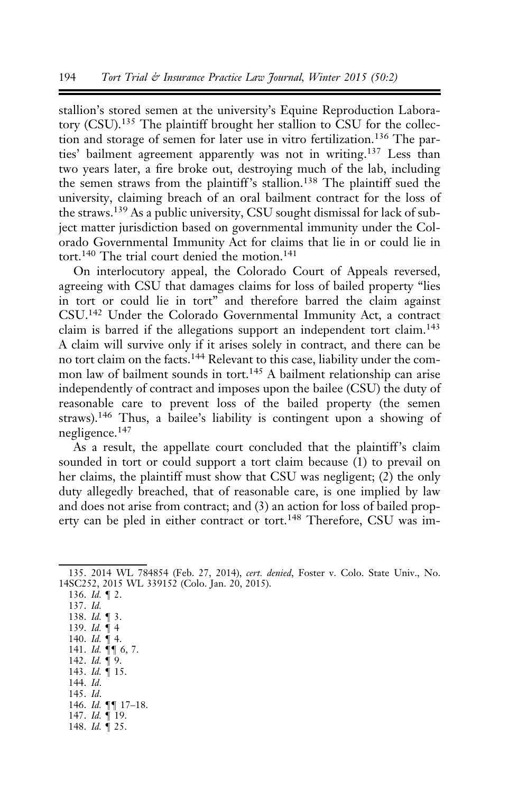stallion's stored semen at the university's Equine Reproduction Laboratory (CSU).<sup>135</sup> The plaintiff brought her stallion to CSU for the collection and storage of semen for later use in vitro fertilization.<sup>136</sup> The parties' bailment agreement apparently was not in writing.137 Less than two years later, a fire broke out, destroying much of the lab, including the semen straws from the plaintiff's stallion.<sup>138</sup> The plaintiff sued the university, claiming breach of an oral bailment contract for the loss of the straws.<sup>139</sup> As a public university, CSU sought dismissal for lack of subject matter jurisdiction based on governmental immunity under the Colorado Governmental Immunity Act for claims that lie in or could lie in tort.<sup>140</sup> The trial court denied the motion.<sup>141</sup>

On interlocutory appeal, the Colorado Court of Appeals reversed, agreeing with CSU that damages claims for loss of bailed property "lies in tort or could lie in tort" and therefore barred the claim against CSU.<sup>142</sup> Under the Colorado Governmental Immunity Act, a contract claim is barred if the allegations support an independent tort claim.<sup>143</sup> A claim will survive only if it arises solely in contract, and there can be no tort claim on the facts.<sup>144</sup> Relevant to this case, liability under the common law of bailment sounds in tort.<sup>145</sup> A bailment relationship can arise independently of contract and imposes upon the bailee (CSU) the duty of reasonable care to prevent loss of the bailed property (the semen straws).<sup>146</sup> Thus, a bailee's liability is contingent upon a showing of negligence.<sup>147</sup>

As a result, the appellate court concluded that the plaintiff's claim sounded in tort or could support a tort claim because (1) to prevail on her claims, the plaintiff must show that CSU was negligent; (2) the only duty allegedly breached, that of reasonable care, is one implied by law and does not arise from contract; and (3) an action for loss of bailed property can be pled in either contract or tort.<sup>148</sup> Therefore, CSU was im-

148. Id. ¶ 25.

<sup>135. 2014</sup> WL 784854 (Feb. 27, 2014), cert. denied, Foster v. Colo. State Univ., No. 14SC252, 2015 WL 339152 (Colo. Jan. 20, 2015).

<sup>136.</sup> Id. ¶ 2. 137. Id. 138. Id. ¶ 3. 139. *Id.*  $\frac{1}{14}$  4 140.  $Id. \nsubseteq 4$ . 141. Id.  $\P\P$  6, 7. 142. Id. ¶ 9. 143. Id. ¶ 15. 144. Id. 145. Id. 146. Id. ¶¶ 17–18. 147. Id. ¶ 19.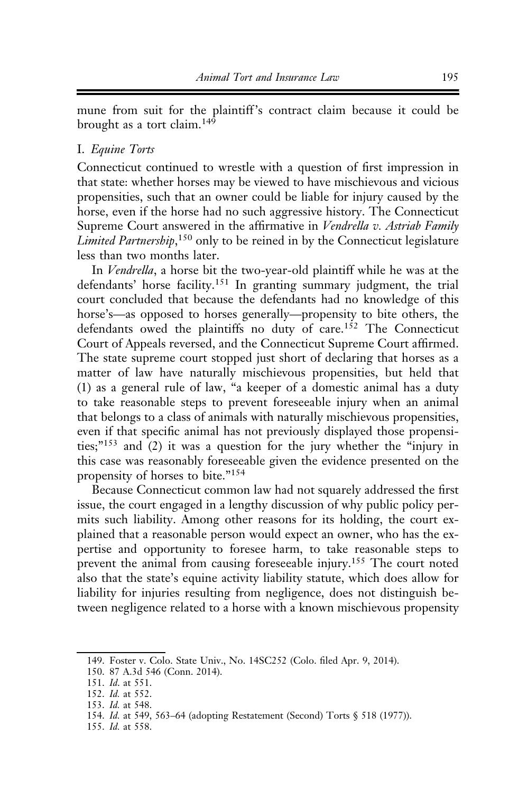mune from suit for the plaintiff's contract claim because it could be brought as a tort claim.<sup>149</sup>

#### I. Equine Torts

Connecticut continued to wrestle with a question of first impression in that state: whether horses may be viewed to have mischievous and vicious propensities, such that an owner could be liable for injury caused by the horse, even if the horse had no such aggressive history. The Connecticut Supreme Court answered in the affirmative in Vendrella v. Astriab Family Limited Partnership,<sup>150</sup> only to be reined in by the Connecticut legislature less than two months later.

In Vendrella, a horse bit the two-year-old plaintiff while he was at the defendants' horse facility.<sup>151</sup> In granting summary judgment, the trial court concluded that because the defendants had no knowledge of this horse's—as opposed to horses generally—propensity to bite others, the defendants owed the plaintiffs no duty of care.<sup>152</sup> The Connecticut Court of Appeals reversed, and the Connecticut Supreme Court affirmed. The state supreme court stopped just short of declaring that horses as a matter of law have naturally mischievous propensities, but held that (1) as a general rule of law, "a keeper of a domestic animal has a duty to take reasonable steps to prevent foreseeable injury when an animal that belongs to a class of animals with naturally mischievous propensities, even if that specific animal has not previously displayed those propensities;"<sup>153</sup> and (2) it was a question for the jury whether the "injury in this case was reasonably foreseeable given the evidence presented on the propensity of horses to bite."<sup>154</sup>

Because Connecticut common law had not squarely addressed the first issue, the court engaged in a lengthy discussion of why public policy permits such liability. Among other reasons for its holding, the court explained that a reasonable person would expect an owner, who has the expertise and opportunity to foresee harm, to take reasonable steps to prevent the animal from causing foreseeable injury.<sup>155</sup> The court noted also that the state's equine activity liability statute, which does allow for liability for injuries resulting from negligence, does not distinguish between negligence related to a horse with a known mischievous propensity

<sup>149.</sup> Foster v. Colo. State Univ., No. 14SC252 (Colo. filed Apr. 9, 2014).

<sup>150. 87</sup> A.3d 546 (Conn. 2014).

<sup>151.</sup> Id. at 551.

<sup>152.</sup> Id. at 552.

<sup>153.</sup> Id. at 548.

<sup>154.</sup> Id. at 549, 563–64 (adopting Restatement (Second) Torts § 518 (1977)).

<sup>155.</sup> Id. at 558.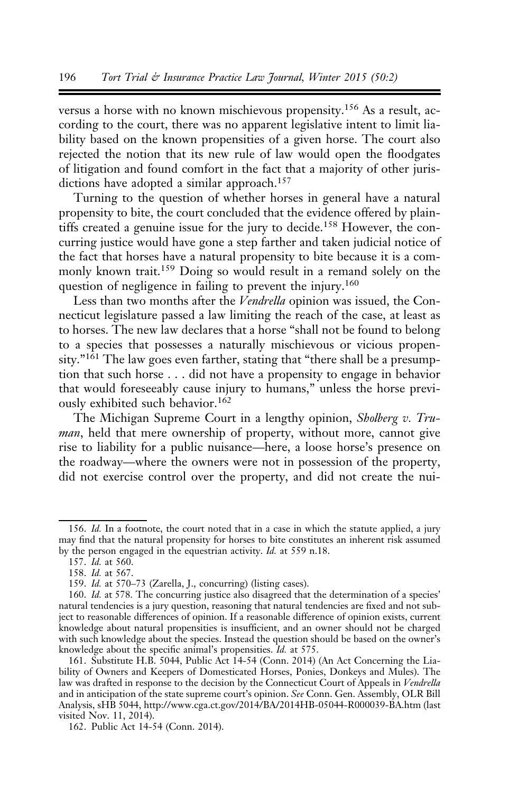versus a horse with no known mischievous propensity.<sup>156</sup> As a result, according to the court, there was no apparent legislative intent to limit liability based on the known propensities of a given horse. The court also rejected the notion that its new rule of law would open the floodgates of litigation and found comfort in the fact that a majority of other jurisdictions have adopted a similar approach.<sup>157</sup>

Turning to the question of whether horses in general have a natural propensity to bite, the court concluded that the evidence offered by plaintiffs created a genuine issue for the jury to decide.<sup>158</sup> However, the concurring justice would have gone a step farther and taken judicial notice of the fact that horses have a natural propensity to bite because it is a commonly known trait.<sup>159</sup> Doing so would result in a remand solely on the question of negligence in failing to prevent the injury.<sup>160</sup>

Less than two months after the Vendrella opinion was issued, the Connecticut legislature passed a law limiting the reach of the case, at least as to horses. The new law declares that a horse "shall not be found to belong to a species that possesses a naturally mischievous or vicious propensity."<sup>161</sup> The law goes even farther, stating that "there shall be a presumption that such horse . . . did not have a propensity to engage in behavior that would foreseeably cause injury to humans," unless the horse previously exhibited such behavior.<sup>162</sup>

The Michigan Supreme Court in a lengthy opinion, Sholberg v. Truman, held that mere ownership of property, without more, cannot give rise to liability for a public nuisance—here, a loose horse's presence on the roadway—where the owners were not in possession of the property, did not exercise control over the property, and did not create the nui-

<sup>156.</sup> Id. In a footnote, the court noted that in a case in which the statute applied, a jury may find that the natural propensity for horses to bite constitutes an inherent risk assumed by the person engaged in the equestrian activity. Id. at 559 n.18.

<sup>157.</sup> Id. at 560.

<sup>158.</sup> Id. at 567.

<sup>159.</sup> Id. at 570–73 (Zarella, J., concurring) (listing cases).

<sup>160.</sup> Id. at 578. The concurring justice also disagreed that the determination of a species' natural tendencies is a jury question, reasoning that natural tendencies are fixed and not subject to reasonable differences of opinion. If a reasonable difference of opinion exists, current knowledge about natural propensities is insufficient, and an owner should not be charged with such knowledge about the species. Instead the question should be based on the owner's knowledge about the specific animal's propensities. Id. at 575.

<sup>161.</sup> Substitute H.B. 5044, Public Act 14-54 (Conn. 2014) (An Act Concerning the Liability of Owners and Keepers of Domesticated Horses, Ponies, Donkeys and Mules). The law was drafted in response to the decision by the Connecticut Court of Appeals in Vendrella and in anticipation of the state supreme court's opinion. See Conn. Gen. Assembly, OLR Bill Analysis, sHB 5044, http://www.cga.ct.gov/2014/BA/2014HB-05044-R000039-BA.htm (last visited Nov. 11, 2014).

<sup>162.</sup> Public Act 14-54 (Conn. 2014).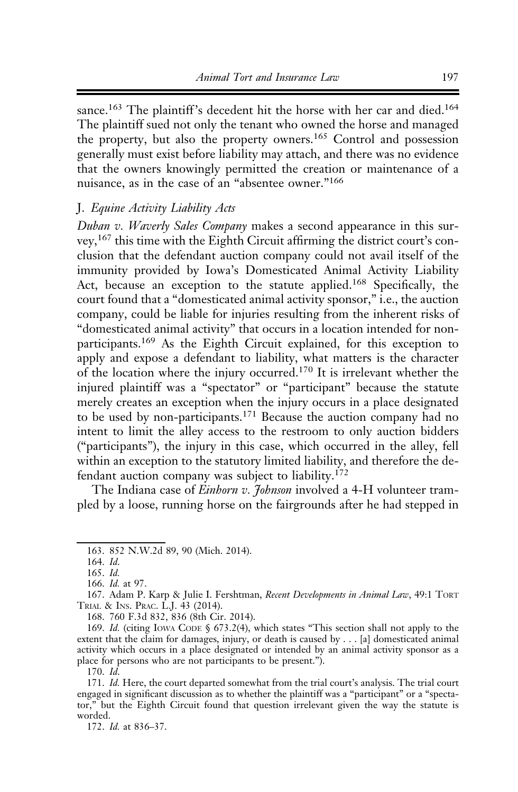sance.<sup>163</sup> The plaintiff's decedent hit the horse with her car and died.<sup>164</sup> The plaintiff sued not only the tenant who owned the horse and managed the property, but also the property owners.<sup>165</sup> Control and possession generally must exist before liability may attach, and there was no evidence that the owners knowingly permitted the creation or maintenance of a nuisance, as in the case of an "absentee owner."<sup>166</sup>

### J. Equine Activity Liability Acts

Duban v. Waverly Sales Company makes a second appearance in this survey,<sup>167</sup> this time with the Eighth Circuit affirming the district court's conclusion that the defendant auction company could not avail itself of the immunity provided by Iowa's Domesticated Animal Activity Liability Act, because an exception to the statute applied.<sup>168</sup> Specifically, the court found that a "domesticated animal activity sponsor," i.e., the auction company, could be liable for injuries resulting from the inherent risks of "domesticated animal activity" that occurs in a location intended for nonparticipants.<sup>169</sup> As the Eighth Circuit explained, for this exception to apply and expose a defendant to liability, what matters is the character of the location where the injury occurred.170 It is irrelevant whether the injured plaintiff was a "spectator" or "participant" because the statute merely creates an exception when the injury occurs in a place designated to be used by non-participants.<sup>171</sup> Because the auction company had no intent to limit the alley access to the restroom to only auction bidders ("participants"), the injury in this case, which occurred in the alley, fell within an exception to the statutory limited liability, and therefore the defendant auction company was subject to liability.<sup>172</sup>

The Indiana case of *Einhorn v. Johnson* involved a 4-H volunteer trampled by a loose, running horse on the fairgrounds after he had stepped in

<sup>163. 852</sup> N.W.2d 89, 90 (Mich. 2014).

<sup>164.</sup> Id.

<sup>165.</sup> Id.

<sup>166.</sup> Id. at 97.

<sup>167.</sup> Adam P. Karp & Julie I. Fershtman, Recent Developments in Animal Law, 49:1 TORT TRIAL & INS. PRAC. L.J. 43 (2014).

<sup>168. 760</sup> F.3d 832, 836 (8th Cir. 2014).

<sup>169.</sup> Id. (citing IOWA CODE § 673.2(4), which states "This section shall not apply to the extent that the claim for damages, injury, or death is caused by . . . [a] domesticated animal activity which occurs in a place designated or intended by an animal activity sponsor as a place for persons who are not participants to be present.").

<sup>170.</sup> Id.

<sup>171.</sup> Id. Here, the court departed somewhat from the trial court's analysis. The trial court engaged in significant discussion as to whether the plaintiff was a "participant" or a "spectator," but the Eighth Circuit found that question irrelevant given the way the statute is worded.

<sup>172.</sup> Id. at 836–37.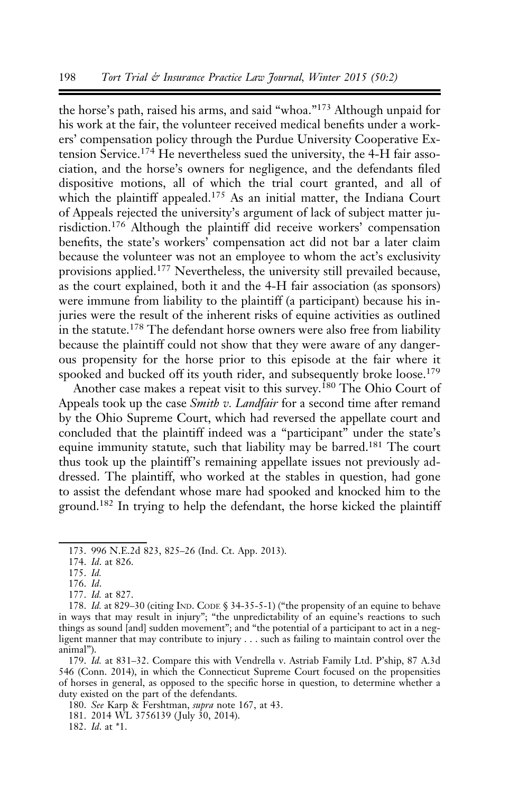the horse's path, raised his arms, and said "whoa."<sup>173</sup> Although unpaid for his work at the fair, the volunteer received medical benefits under a workers' compensation policy through the Purdue University Cooperative Extension Service.<sup>174</sup> He nevertheless sued the university, the 4-H fair association, and the horse's owners for negligence, and the defendants filed dispositive motions, all of which the trial court granted, and all of which the plaintiff appealed.<sup>175</sup> As an initial matter, the Indiana Court of Appeals rejected the university's argument of lack of subject matter jurisdiction.<sup>176</sup> Although the plaintiff did receive workers' compensation benefits, the state's workers' compensation act did not bar a later claim because the volunteer was not an employee to whom the act's exclusivity provisions applied.<sup>177</sup> Nevertheless, the university still prevailed because, as the court explained, both it and the 4-H fair association (as sponsors) were immune from liability to the plaintiff (a participant) because his injuries were the result of the inherent risks of equine activities as outlined in the statute.<sup>178</sup> The defendant horse owners were also free from liability because the plaintiff could not show that they were aware of any dangerous propensity for the horse prior to this episode at the fair where it spooked and bucked off its youth rider, and subsequently broke loose.<sup>179</sup>

Another case makes a repeat visit to this survey.<sup>180</sup> The Ohio Court of Appeals took up the case *Smith v. Landfair* for a second time after remand by the Ohio Supreme Court, which had reversed the appellate court and concluded that the plaintiff indeed was a "participant" under the state's equine immunity statute, such that liability may be barred.<sup>181</sup> The court thus took up the plaintiff's remaining appellate issues not previously addressed. The plaintiff, who worked at the stables in question, had gone to assist the defendant whose mare had spooked and knocked him to the ground.182 In trying to help the defendant, the horse kicked the plaintiff

176. Id.

179. Id. at 831–32. Compare this with Vendrella v. Astriab Family Ltd. P'ship, 87 A.3d 546 (Conn. 2014), in which the Connecticut Supreme Court focused on the propensities of horses in general, as opposed to the specific horse in question, to determine whether a duty existed on the part of the defendants.

182. Id. at \*1.

<sup>173. 996</sup> N.E.2d 823, 825–26 (Ind. Ct. App. 2013).

<sup>174.</sup> Id. at 826.

<sup>175.</sup> Id.

<sup>177.</sup> Id. at 827.

<sup>178.</sup> Id. at 829–30 (citing IND. CODE § 34-35-5-1) ("the propensity of an equine to behave in ways that may result in injury"; "the unpredictability of an equine's reactions to such things as sound [and] sudden movement"; and "the potential of a participant to act in a negligent manner that may contribute to injury . . . such as failing to maintain control over the animal").

<sup>180.</sup> See Karp & Fershtman, supra note 167, at 43.

<sup>181. 2014</sup> WL 3756139 ( July 30, 2014).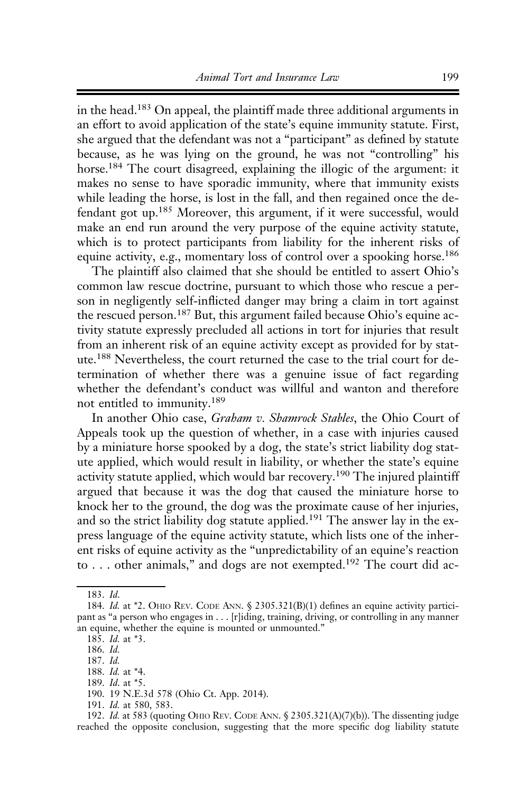in the head.183 On appeal, the plaintiff made three additional arguments in an effort to avoid application of the state's equine immunity statute. First, she argued that the defendant was not a "participant" as defined by statute because, as he was lying on the ground, he was not "controlling" his horse.184 The court disagreed, explaining the illogic of the argument: it makes no sense to have sporadic immunity, where that immunity exists while leading the horse, is lost in the fall, and then regained once the defendant got up.185 Moreover, this argument, if it were successful, would make an end run around the very purpose of the equine activity statute, which is to protect participants from liability for the inherent risks of equine activity, e.g., momentary loss of control over a spooking horse.<sup>186</sup>

The plaintiff also claimed that she should be entitled to assert Ohio's common law rescue doctrine, pursuant to which those who rescue a person in negligently self-inflicted danger may bring a claim in tort against the rescued person.<sup>187</sup> But, this argument failed because Ohio's equine activity statute expressly precluded all actions in tort for injuries that result from an inherent risk of an equine activity except as provided for by statute.<sup>188</sup> Nevertheless, the court returned the case to the trial court for determination of whether there was a genuine issue of fact regarding whether the defendant's conduct was willful and wanton and therefore not entitled to immunity.<sup>189</sup>

In another Ohio case, Graham v. Shamrock Stables, the Ohio Court of Appeals took up the question of whether, in a case with injuries caused by a miniature horse spooked by a dog, the state's strict liability dog statute applied, which would result in liability, or whether the state's equine activity statute applied, which would bar recovery.<sup>190</sup> The injured plaintiff argued that because it was the dog that caused the miniature horse to knock her to the ground, the dog was the proximate cause of her injuries, and so the strict liability dog statute applied.<sup>191</sup> The answer lay in the express language of the equine activity statute, which lists one of the inherent risks of equine activity as the "unpredictability of an equine's reaction to . . . other animals," and dogs are not exempted.192 The court did ac-

192. Id. at 583 (quoting OHIO REV. CODE ANN. § 2305.321(A)(7)(b)). The dissenting judge reached the opposite conclusion, suggesting that the more specific dog liability statute

<sup>183.</sup> Id.

<sup>184.</sup> Id. at \*2. OHIO REV. CODE ANN. § 2305.321(B)(1) defines an equine activity participant as "a person who engages in . . . [r]iding, training, driving, or controlling in any manner an equine, whether the equine is mounted or unmounted."

<sup>185.</sup> *Id.* at  $*3$ .

<sup>186.</sup> Id.

<sup>187.</sup> Id.

<sup>188.</sup> Id. at \*4. 189. Id. at \*5.

<sup>190. 19</sup> N.E.3d 578 (Ohio Ct. App. 2014).

<sup>191.</sup> Id. at 580, 583.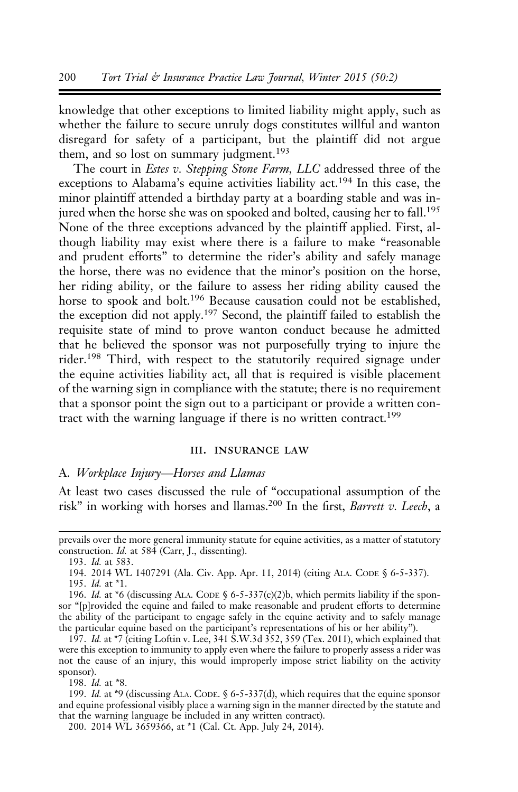knowledge that other exceptions to limited liability might apply, such as whether the failure to secure unruly dogs constitutes willful and wanton disregard for safety of a participant, but the plaintiff did not argue them, and so lost on summary judgment.<sup>193</sup>

The court in *Estes v. Stepping Stone Farm*, *LLC* addressed three of the exceptions to Alabama's equine activities liability act.<sup>194</sup> In this case, the minor plaintiff attended a birthday party at a boarding stable and was injured when the horse she was on spooked and bolted, causing her to fall.<sup>195</sup> None of the three exceptions advanced by the plaintiff applied. First, although liability may exist where there is a failure to make "reasonable and prudent efforts" to determine the rider's ability and safely manage the horse, there was no evidence that the minor's position on the horse, her riding ability, or the failure to assess her riding ability caused the horse to spook and bolt.<sup>196</sup> Because causation could not be established, the exception did not apply.197 Second, the plaintiff failed to establish the requisite state of mind to prove wanton conduct because he admitted that he believed the sponsor was not purposefully trying to injure the rider.198 Third, with respect to the statutorily required signage under the equine activities liability act, all that is required is visible placement of the warning sign in compliance with the statute; there is no requirement that a sponsor point the sign out to a participant or provide a written contract with the warning language if there is no written contract.<sup>199</sup>

#### iii. insurance law

#### A. Workplace Injury—Horses and Llamas

At least two cases discussed the rule of "occupational assumption of the risk" in working with horses and llamas.<sup>200</sup> In the first, *Barrett v. Leech*, a

198. Id. at \*8.

prevails over the more general immunity statute for equine activities, as a matter of statutory construction. Id. at 584 (Carr, J., dissenting).

<sup>193.</sup> Id. at 583.

<sup>194. 2014</sup> WL 1407291 (Ala. Civ. App. Apr. 11, 2014) (citing ALA. CODE § 6-5-337). 195. Id. at \*1.

<sup>196.</sup> Id. at \*6 (discussing ALA. CODE § 6-5-337(c)(2)b, which permits liability if the sponsor "[p]rovided the equine and failed to make reasonable and prudent efforts to determine the ability of the participant to engage safely in the equine activity and to safely manage the particular equine based on the participant's representations of his or her ability").

<sup>197.</sup> Id. at  $*7$  (citing Loftin v. Lee, 341 S.W.3d  $352$ , 359 (Tex. 2011), which explained that were this exception to immunity to apply even where the failure to properly assess a rider was not the cause of an injury, this would improperly impose strict liability on the activity sponsor).

<sup>199.</sup> *Id.* at \*9 (discussing ALA. CODE.  $6-5-337(d)$ , which requires that the equine sponsor and equine professional visibly place a warning sign in the manner directed by the statute and that the warning language be included in any written contract).

<sup>200. 2014</sup> WL 3659366, at \*1 (Cal. Ct. App. July 24, 2014).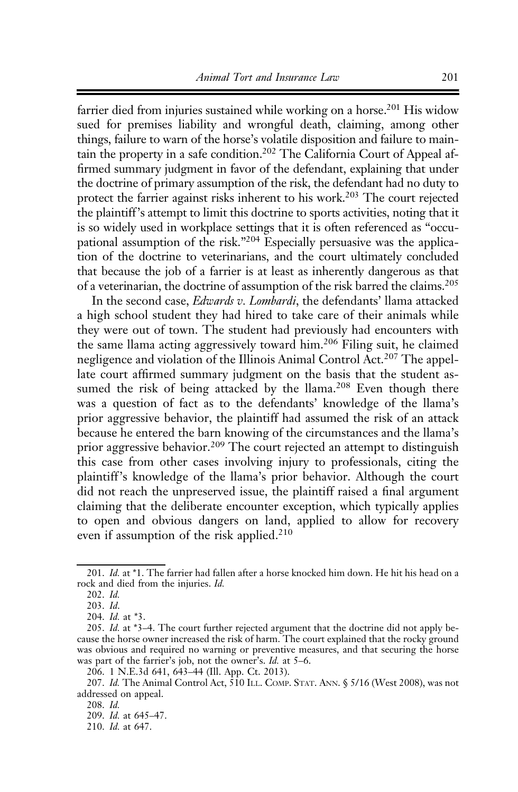farrier died from injuries sustained while working on a horse.<sup>201</sup> His widow sued for premises liability and wrongful death, claiming, among other things, failure to warn of the horse's volatile disposition and failure to maintain the property in a safe condition.202 The California Court of Appeal affirmed summary judgment in favor of the defendant, explaining that under the doctrine of primary assumption of the risk, the defendant had no duty to protect the farrier against risks inherent to his work.203 The court rejected the plaintiff's attempt to limit this doctrine to sports activities, noting that it is so widely used in workplace settings that it is often referenced as "occupational assumption of the risk."204 Especially persuasive was the application of the doctrine to veterinarians, and the court ultimately concluded that because the job of a farrier is at least as inherently dangerous as that of a veterinarian, the doctrine of assumption of the risk barred the claims.205

In the second case, *Edwards v. Lombardi*, the defendants' llama attacked a high school student they had hired to take care of their animals while they were out of town. The student had previously had encounters with the same llama acting aggressively toward him.<sup>206</sup> Filing suit, he claimed negligence and violation of the Illinois Animal Control Act.<sup>207</sup> The appellate court affirmed summary judgment on the basis that the student assumed the risk of being attacked by the llama.<sup>208</sup> Even though there was a question of fact as to the defendants' knowledge of the llama's prior aggressive behavior, the plaintiff had assumed the risk of an attack because he entered the barn knowing of the circumstances and the llama's prior aggressive behavior.<sup>209</sup> The court rejected an attempt to distinguish this case from other cases involving injury to professionals, citing the plaintiff's knowledge of the llama's prior behavior. Although the court did not reach the unpreserved issue, the plaintiff raised a final argument claiming that the deliberate encounter exception, which typically applies to open and obvious dangers on land, applied to allow for recovery even if assumption of the risk applied.<sup>210</sup>

<sup>201.</sup> Id. at \*1. The farrier had fallen after a horse knocked him down. He hit his head on a rock and died from the injuries. Id.

<sup>202.</sup> Id.

<sup>203.</sup> Id.

<sup>204.</sup> Id. at \*3.

<sup>205.</sup> Id. at \*3–4. The court further rejected argument that the doctrine did not apply because the horse owner increased the risk of harm. The court explained that the rocky ground was obvious and required no warning or preventive measures, and that securing the horse was part of the farrier's job, not the owner's. Id. at 5–6.

<sup>206. 1</sup> N.E.3d 641, 643–44 (Ill. App. Ct. 2013).

<sup>207.</sup> Id. The Animal Control Act,  $\frac{2}{10}$  ILL. COMP. STAT. ANN. § 5/16 (West 2008), was not addressed on appeal.

<sup>208.</sup> Id.

<sup>209.</sup> Id. at 645–47.

<sup>210.</sup> Id. at 647.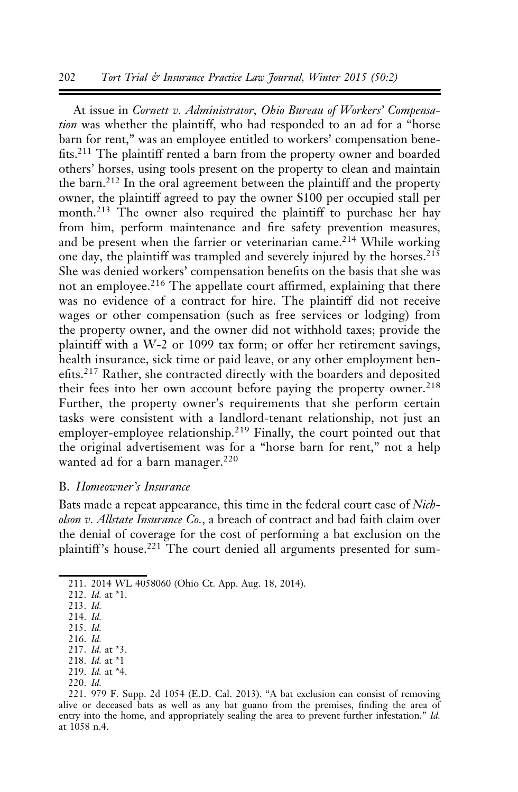#### 202 Tort Trial & Insurance Practice Law Journal, Winter 2015 (50:2)

At issue in Cornett v. Administrator, Ohio Bureau of Workers' Compensation was whether the plaintiff, who had responded to an ad for a "horse barn for rent," was an employee entitled to workers' compensation benefits.<sup>211</sup> The plaintiff rented a barn from the property owner and boarded others' horses, using tools present on the property to clean and maintain the barn.<sup>212</sup> In the oral agreement between the plaintiff and the property owner, the plaintiff agreed to pay the owner \$100 per occupied stall per month.<sup>213</sup> The owner also required the plaintiff to purchase her hay from him, perform maintenance and fire safety prevention measures, and be present when the farrier or veterinarian came.<sup>214</sup> While working one day, the plaintiff was trampled and severely injured by the horses.<sup>215</sup> She was denied workers' compensation benefits on the basis that she was not an employee.<sup>216</sup> The appellate court affirmed, explaining that there was no evidence of a contract for hire. The plaintiff did not receive wages or other compensation (such as free services or lodging) from the property owner, and the owner did not withhold taxes; provide the plaintiff with a W-2 or 1099 tax form; or offer her retirement savings, health insurance, sick time or paid leave, or any other employment benefits.<sup>217</sup> Rather, she contracted directly with the boarders and deposited their fees into her own account before paying the property owner.<sup>218</sup> Further, the property owner's requirements that she perform certain tasks were consistent with a landlord-tenant relationship, not just an employer-employee relationship.<sup>219</sup> Finally, the court pointed out that the original advertisement was for a "horse barn for rent," not a help wanted ad for a barn manager.<sup>220</sup>

#### B. Homeowner's Insurance

Bats made a repeat appearance, this time in the federal court case of Nicholson v. Allstate Insurance Co., a breach of contract and bad faith claim over the denial of coverage for the cost of performing a bat exclusion on the plaintiff's house.<sup>221</sup> The court denied all arguments presented for sum-

220. Id.

<sup>211. 2014</sup> WL 4058060 (Ohio Ct. App. Aug. 18, 2014).

<sup>212.</sup> Id. at \*1.

<sup>213.</sup> Id.

<sup>214.</sup> Id.

<sup>215.</sup> Id. 216. Id.

<sup>217.</sup> Id. at \*3.

<sup>218.</sup> Id. at \*1

<sup>219.</sup> Id. at \*4.

<sup>221. 979</sup> F. Supp. 2d 1054 (E.D. Cal. 2013). "A bat exclusion can consist of removing alive or deceased bats as well as any bat guano from the premises, finding the area of entry into the home, and appropriately sealing the area to prevent further infestation." Id. at 1058 n.4.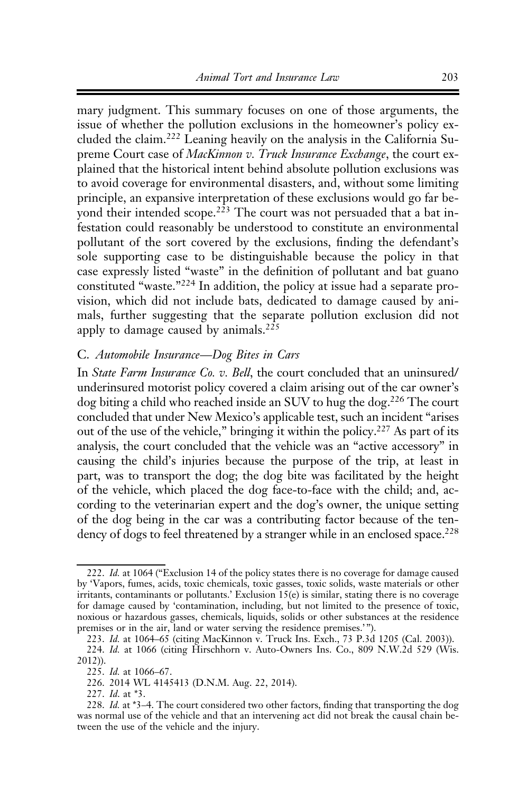mary judgment. This summary focuses on one of those arguments, the issue of whether the pollution exclusions in the homeowner's policy excluded the claim.<sup>222</sup> Leaning heavily on the analysis in the California Supreme Court case of MacKinnon v. Truck Insurance Exchange, the court explained that the historical intent behind absolute pollution exclusions was to avoid coverage for environmental disasters, and, without some limiting principle, an expansive interpretation of these exclusions would go far beyond their intended scope.<sup>223</sup> The court was not persuaded that a bat infestation could reasonably be understood to constitute an environmental pollutant of the sort covered by the exclusions, finding the defendant's sole supporting case to be distinguishable because the policy in that case expressly listed "waste" in the definition of pollutant and bat guano constituted "waste."<sup>224</sup> In addition, the policy at issue had a separate provision, which did not include bats, dedicated to damage caused by animals, further suggesting that the separate pollution exclusion did not apply to damage caused by animals.<sup>225</sup>

#### C. Automobile Insurance—Dog Bites in Cars

In *State Farm Insurance Co. v. Bell*, the court concluded that an uninsured/ underinsured motorist policy covered a claim arising out of the car owner's dog biting a child who reached inside an SUV to hug the dog.226 The court concluded that under New Mexico's applicable test, such an incident "arises out of the use of the vehicle," bringing it within the policy.227 As part of its analysis, the court concluded that the vehicle was an "active accessory" in causing the child's injuries because the purpose of the trip, at least in part, was to transport the dog; the dog bite was facilitated by the height of the vehicle, which placed the dog face-to-face with the child; and, according to the veterinarian expert and the dog's owner, the unique setting of the dog being in the car was a contributing factor because of the tendency of dogs to feel threatened by a stranger while in an enclosed space.<sup>228</sup>

<sup>222.</sup> Id. at 1064 ("Exclusion 14 of the policy states there is no coverage for damage caused by 'Vapors, fumes, acids, toxic chemicals, toxic gasses, toxic solids, waste materials or other irritants, contaminants or pollutants.' Exclusion 15(e) is similar, stating there is no coverage for damage caused by 'contamination, including, but not limited to the presence of toxic, noxious or hazardous gasses, chemicals, liquids, solids or other substances at the residence premises or in the air, land or water serving the residence premises.'").

<sup>223.</sup> Id. at 1064–65 (citing MacKinnon v. Truck Ins. Exch., 73 P.3d 1205 (Cal. 2003)). 224. Id. at 1066 (citing Hirschhorn v. Auto-Owners Ins. Co., 809 N.W.2d 529 (Wis. 2012)).

<sup>225.</sup> Id. at 1066–67.

<sup>226. 2014</sup> WL 4145413 (D.N.M. Aug. 22, 2014).

<sup>227.</sup> Id. at \*3.

<sup>228.</sup> Id. at \*3–4. The court considered two other factors, finding that transporting the dog was normal use of the vehicle and that an intervening act did not break the causal chain between the use of the vehicle and the injury.